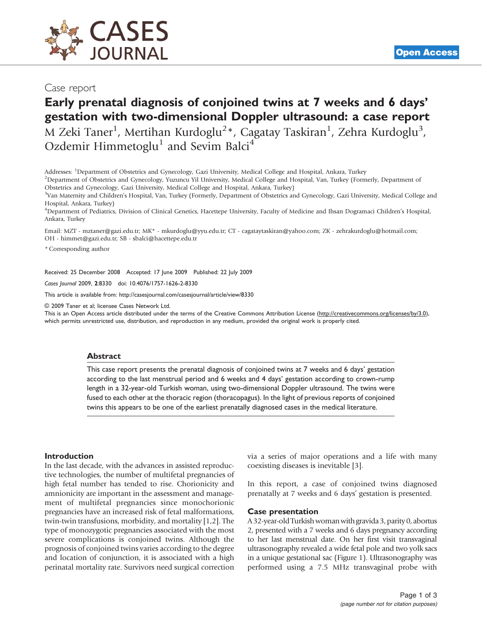

## Case report

# Early prenatal diagnosis of conjoined twins at 7 weeks and 6 days' gestation with two-dimensional Doppler ultrasound: a case report

M Zeki Taner<sup>1</sup>, Mertihan Kurdoglu<sup>2</sup>\*, Cagatay Taskiran<sup>1</sup>, Zehra Kurdoglu<sup>3</sup>, Ozdemir Himmetoglu<sup>1</sup> and Sevim Balci<sup>4</sup>

Addresses: <sup>1</sup>Department of Obstetrics and Gynecology, Gazi University, Medical College and Hospital, Ankara, Turkey<br><sup>2</sup>Department of Obstetrics and Cynecology, Vuzuncu Vil University, Medical College and Hospital, Van Tur

<sup>2</sup>Department of Obstetrics and Gynecology, Yuzuncu Yil University, Medical College and Hospital, Van, Turkey (Formerly, Department of Obstetrics and Gynecology, Gazi University, Medical College and Hospital, Ankara, Turkey)

<sup>3</sup>Van Maternity and Children's Hospital, Van, Turkey (Formerly, Department of Obstetrics and Gynecology, Gazi University, Medical College and Hospital, Ankara, Turkey)

4 Department of Pediatrics, Division of Clinical Genetics, Hacettepe University, Faculty of Medicine and Ihsan Dogramaci Children's Hospital, Ankara, Turkey

Email: MZT - mztaner@gazi.edu.tr; MK\* - mkurdoglu@yyu.edu.tr; CT - cagataytaskiran@yahoo.com; ZK - zehrakurdoglu@hotmail.com; OH - himmet@gazi.edu.tr; SB - sbalci@hacettepe.edu.tr

\* Corresponding author

Received: 25 December 2008 Accepted: 17 June 2009 Published: 22 July 2009

Cases Journal 2009, 2:8330 doi: 10.4076/1757-1626-2-8330

This article is available from:<http://casesjournal.com/casesjournal/article/view/8330>

© 2009 Taner et al; licensee Cases Network Ltd.

This is an Open Access article distributed under the terms of the Creative Commons Attribution License [\(http://creativecommons.org/licenses/by/3.0\)](http://creativecommons.org/licenses/by/3.0), which permits unrestricted use, distribution, and reproduction in any medium, provided the original work is properly cited.

#### **Abstract**

This case report presents the prenatal diagnosis of conjoined twins at 7 weeks and 6 days' gestation according to the last menstrual period and 6 weeks and 4 days' gestation according to crown-rump length in a 32-year-old Turkish woman, using two-dimensional Doppler ultrasound. The twins were fused to each other at the thoracic region (thoracopagus). In the light of previous reports of conjoined twins this appears to be one of the earliest prenatally diagnosed cases in the medical literature.

#### Introduction

In the last decade, with the advances in assisted reproductive technologies, the number of multifetal pregnancies of high fetal number has tended to rise. Chorionicity and amnionicity are important in the assessment and management of multifetal pregnancies since monochorionic pregnancies have an increased risk of fetal malformations, twin-twin transfusions, morbidity, and mortality [[1,2\]](#page-2-0). The type of monozygotic pregnancies associated with the most severe complications is conjoined twins. Although the prognosis of conjoined twins varies according to the degree and location of conjunction, it is associated with a high perinatal mortality rate. Survivors need surgical correction

via a series of major operations and a life with many coexisting diseases is inevitable [[3](#page-2-0)].

In this report, a case of conjoined twins diagnosed prenatally at 7 weeks and 6 days' gestation is presented.

#### Case presentation

A 32-year-old Turkish woman with gravida 3, parity 0, abortus 2, presented with a 7 weeks and 6 days pregnancy according to her last menstrual date. On her first visit transvaginal ultrasonography revealed a wide fetal pole and two yolk sacs in a unique gestational sac ([Figure 1](#page-1-0)). Ultrasonography was performed using a 7.5 MHz transvaginal probe with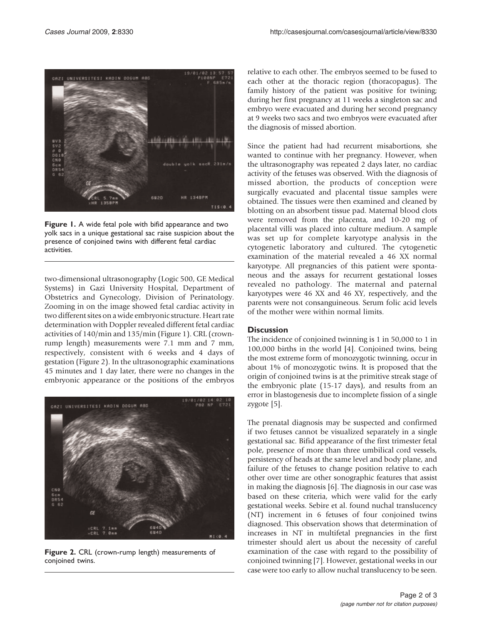<span id="page-1-0"></span>

Figure 1. A wide fetal pole with bifid appearance and two yolk sacs in a unique gestational sac raise suspicion about the presence of conjoined twins with different fetal cardiac activities.

two-dimensional ultrasonography (Logic 500, GE Medical Systems) in Gazi University Hospital, Department of Obstetrics and Gynecology, Division of Perinatology. Zooming in on the image showed fetal cardiac activity in two different sites on a wide embryonic structure. Heart rate determination with Doppler revealed different fetal cardiac activities of 140/min and 135/min (Figure 1). CRL (crownrump length) measurements were 7.1 mm and 7 mm, respectively, consistent with 6 weeks and 4 days of gestation (Figure 2). In the ultrasonographic examinations 45 minutes and 1 day later, there were no changes in the embryonic appearance or the positions of the embryos



Figure 2. CRL (crown-rump length) measurements of conjoined twins.

relative to each other. The embryos seemed to be fused to each other at the thoracic region (thoracopagus). The family history of the patient was positive for twining; during her first pregnancy at 11 weeks a singleton sac and embryo were evacuated and during her second pregnancy at 9 weeks two sacs and two embryos were evacuated after the diagnosis of missed abortion.

Since the patient had had recurrent misabortions, she wanted to continue with her pregnancy. However, when the ultrasonography was repeated 2 days later, no cardiac activity of the fetuses was observed. With the diagnosis of missed abortion, the products of conception were surgically evacuated and placental tissue samples were obtained. The tissues were then examined and cleaned by blotting on an absorbent tissue pad. Maternal blood clots were removed from the placenta, and 10-20 mg of placental villi was placed into culture medium. A sample was set up for complete karyotype analysis in the cytogenetic laboratory and cultured. The cytogenetic examination of the material revealed a 46 XX normal karyotype. All pregnancies of this patient were spontaneous and the assays for recurrent gestational losses revealed no pathology. The maternal and paternal karyotypes were 46 XX and 46 XY, respectively, and the parents were not consanguineous. Serum folic acid levels of the mother were within normal limits.

#### **Discussion**

The incidence of conjoined twinning is 1 in 50,000 to 1 in 100,000 births in the world [\[4](#page-2-0)]. Conjoined twins, being the most extreme form of monozygotic twinning, occur in about 1% of monozygotic twins. It is proposed that the origin of conjoined twins is at the primitive streak stage of the embryonic plate (15-17 days), and results from an error in blastogenesis due to incomplete fission of a single zygote [[5](#page-2-0)].

The prenatal diagnosis may be suspected and confirmed if two fetuses cannot be visualized separately in a single gestational sac. Bifid appearance of the first trimester fetal pole, presence of more than three umbilical cord vessels, persistency of heads at the same level and body plane, and failure of the fetuses to change position relative to each other over time are other sonographic features that assist in making the diagnosis [[6](#page-2-0)]. The diagnosis in our case was based on these criteria, which were valid for the early gestational weeks. Sebire et al. found nuchal translucency (NT) increment in 6 fetuses of four conjoined twins diagnosed. This observation shows that determination of increases in NT in multifetal pregnancies in the first trimester should alert us about the necessity of careful examination of the case with regard to the possibility of conjoined twinning [[7\]](#page-2-0). However, gestational weeks in our case were too early to allow nuchal translucency to be seen.